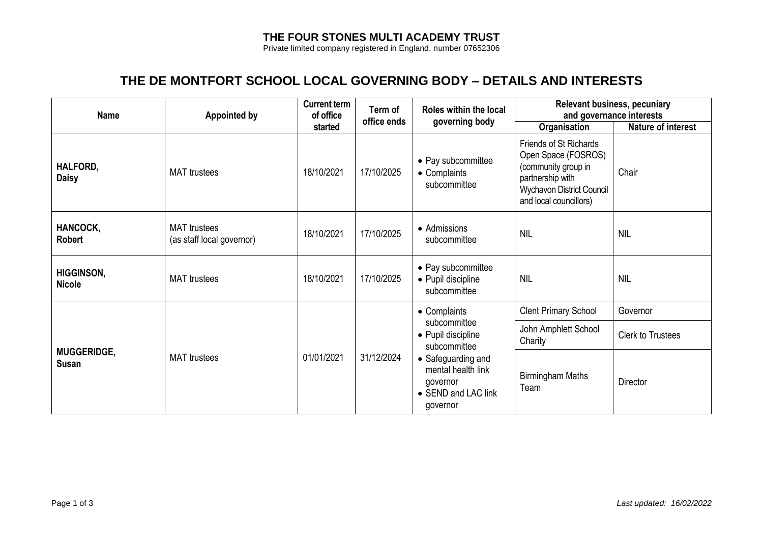## **THE FOUR STONES MULTI ACADEMY TRUST**

Private limited company registered in England, number 07652306

## **THE DE MONTFORT SCHOOL LOCAL GOVERNING BODY – DETAILS AND INTERESTS**

| <b>Name</b>                        | <b>Appointed by</b>                              | <b>Current term</b><br>of office<br>started | Term of<br>office ends | Roles within the local<br>governing body                                                                                                                      | <b>Relevant business, pecuniary</b><br>and governance interests                                                                                 |                           |
|------------------------------------|--------------------------------------------------|---------------------------------------------|------------------------|---------------------------------------------------------------------------------------------------------------------------------------------------------------|-------------------------------------------------------------------------------------------------------------------------------------------------|---------------------------|
|                                    |                                                  |                                             |                        |                                                                                                                                                               | Organisation                                                                                                                                    | <b>Nature of interest</b> |
| HALFORD,<br><b>Daisy</b>           | <b>MAT</b> trustees                              | 18/10/2021                                  | 17/10/2025             | • Pay subcommittee<br>• Complaints<br>subcommittee                                                                                                            | Friends of St Richards<br>Open Space (FOSROS)<br>(community group in<br>partnership with<br>Wychavon District Council<br>and local councillors) | Chair                     |
| HANCOCK,<br>Robert                 | <b>MAT</b> trustees<br>(as staff local governor) | 18/10/2021                                  | 17/10/2025             | • Admissions<br>subcommittee                                                                                                                                  | <b>NIL</b>                                                                                                                                      | <b>NIL</b>                |
| <b>HIGGINSON,</b><br><b>Nicole</b> | <b>MAT</b> trustees                              | 18/10/2021                                  | 17/10/2025             | • Pay subcommittee<br>• Pupil discipline<br>subcommittee                                                                                                      | <b>NIL</b>                                                                                                                                      | <b>NIL</b>                |
| <b>MUGGERIDGE,</b><br>Susan        | <b>MAT</b> trustees                              | 01/01/2021                                  | 31/12/2024             | • Complaints<br>subcommittee<br>• Pupil discipline<br>subcommittee<br>• Safeguarding and<br>mental health link<br>governor<br>• SEND and LAC link<br>governor | <b>Clent Primary School</b>                                                                                                                     | Governor                  |
|                                    |                                                  |                                             |                        |                                                                                                                                                               | John Amphlett School<br>Charity                                                                                                                 | <b>Clerk to Trustees</b>  |
|                                    |                                                  |                                             |                        |                                                                                                                                                               | <b>Birmingham Maths</b><br>Team                                                                                                                 | <b>Director</b>           |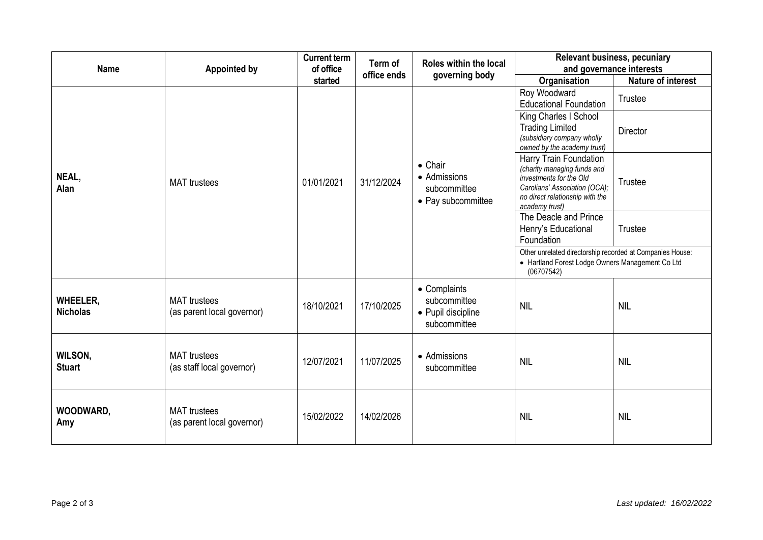| <b>Name</b>                        | <b>Appointed by</b>                               | <b>Current term</b><br>of office<br>started | Term of<br>office ends | Roles within the local<br>governing body                              | <b>Relevant business, pecuniary</b><br>and governance interests                                                                                                        |                           |
|------------------------------------|---------------------------------------------------|---------------------------------------------|------------------------|-----------------------------------------------------------------------|------------------------------------------------------------------------------------------------------------------------------------------------------------------------|---------------------------|
|                                    |                                                   |                                             |                        |                                                                       | Organisation                                                                                                                                                           | <b>Nature of interest</b> |
| NEAL,<br>Alan                      | <b>MAT</b> trustees                               | 01/01/2021                                  | 31/12/2024             | $\bullet$ Chair<br>• Admissions<br>subcommittee<br>• Pay subcommittee | Roy Woodward<br><b>Educational Foundation</b>                                                                                                                          | Trustee                   |
|                                    |                                                   |                                             |                        |                                                                       | King Charles I School<br><b>Trading Limited</b><br>(subsidiary company wholly<br>owned by the academy trust)                                                           | Director                  |
|                                    |                                                   |                                             |                        |                                                                       | Harry Train Foundation<br>(charity managing funds and<br>investments for the Old<br>Carolians' Association (OCA);<br>no direct relationship with the<br>academy trust) | Trustee                   |
|                                    |                                                   |                                             |                        |                                                                       | The Deacle and Prince<br>Henry's Educational<br>Foundation                                                                                                             | <b>Trustee</b>            |
|                                    |                                                   |                                             |                        |                                                                       | Other unrelated directorship recorded at Companies House:<br>• Hartland Forest Lodge Owners Management Co Ltd<br>(06707542)                                            |                           |
| <b>WHEELER,</b><br><b>Nicholas</b> | <b>MAT</b> trustees<br>(as parent local governor) | 18/10/2021                                  | 17/10/2025             | • Complaints<br>subcommittee<br>• Pupil discipline<br>subcommittee    | <b>NIL</b>                                                                                                                                                             | <b>NIL</b>                |
| <b>WILSON,</b><br><b>Stuart</b>    | <b>MAT</b> trustees<br>(as staff local governor)  | 12/07/2021                                  | 11/07/2025             | • Admissions<br>subcommittee                                          | <b>NIL</b>                                                                                                                                                             | <b>NIL</b>                |
| WOODWARD,<br>Amy                   | <b>MAT</b> trustees<br>(as parent local governor) | 15/02/2022                                  | 14/02/2026             |                                                                       | <b>NIL</b>                                                                                                                                                             | <b>NIL</b>                |